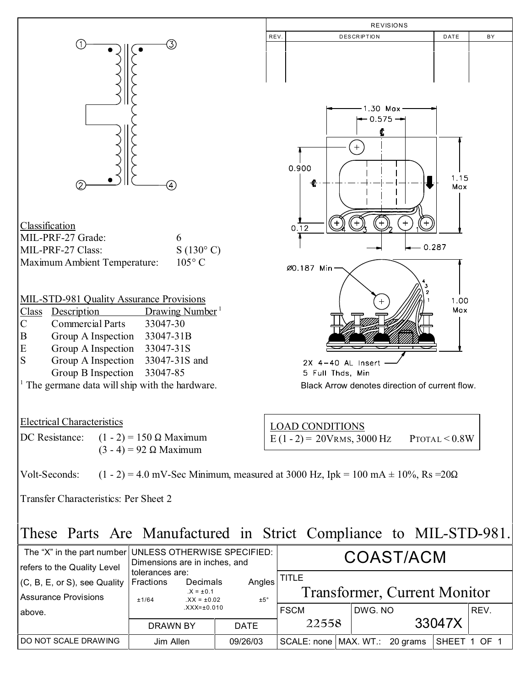

## These Parts Are Manufactured in Strict Compliance to MIL-STD-981.

| The "X" in the part number UNLESS OTHERWISE SPECIFIED:<br>refers to the Quality Level | Dimensions are in inches, and                                                                                             | COAST/ACM            |          |                                                     |        |         |  |              |      |
|---------------------------------------------------------------------------------------|---------------------------------------------------------------------------------------------------------------------------|----------------------|----------|-----------------------------------------------------|--------|---------|--|--------------|------|
| $(C, B, E, or S)$ , see Quality<br>Assurance Provisions                               | tolerances are:<br>Angles<br>Fractions<br>Decimals<br>$.X = ±0.1$<br>±5°<br>$XX = \pm 0.02$<br>±1/64<br>$XXX = \pm 0.010$ |                      |          | <b>TITLE</b><br><b>Transformer, Current Monitor</b> |        |         |  |              |      |
| l above.                                                                              |                                                                                                                           |                      |          | <b>FSCM</b>                                         |        | DWG. NO |  |              | REV. |
|                                                                                       | DRAWN BY                                                                                                                  | 22558<br><b>DATE</b> |          |                                                     | 33047X |         |  |              |      |
| <b>IDO NOT SCALE DRAWING</b>                                                          | Jim Allen                                                                                                                 |                      | 09/26/03 | SCALE: none   MAX. WT.: 20 grams                    |        |         |  | SHEET 1 OF 1 |      |